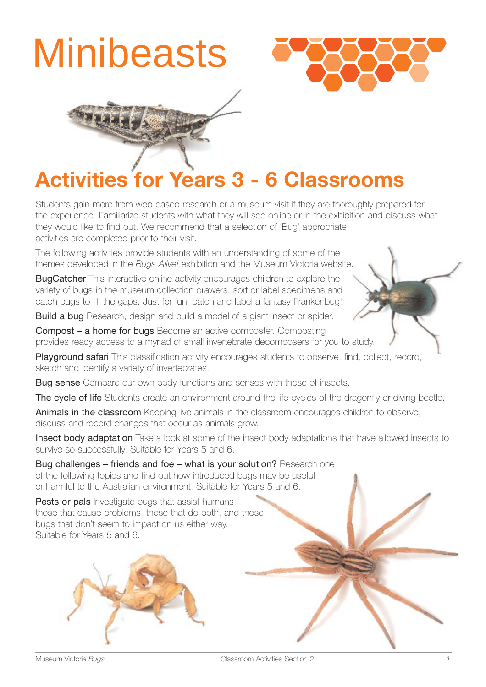





# **Activities for Years 3 - 6 Classrooms**

Students gain more from web based research or a museum visit if they are thoroughly prepared for the experience. Familiarize students with what they will see online or in the exhibition and discuss what they would like to find out. We recommend that a selection of 'Bug' appropriate activities are completed prior to their visit.

The following activities provide students with an understanding of some of the themes developed in the *Bugs Alive!* exhibition and the Museum Victoria website.

**BugCatcher** This interactive online activity encourages children to explore the variety of bugs in the museum collection drawers, sort or label specimens and catch bugs to fill the gaps. Just for fun, catch and label a fantasy Frankenbug!

Build a bug Research, design and build a model of a giant insect or spider.

Compost – a home for bugs Become an active composter. Composting provides ready access to a myriad of small invertebrate decomposers for you to study.

Playground safari This classification activity encourages students to observe, find, collect, record, sketch and identify a variety of invertebrates.

**Bug sense** Compare our own body functions and senses with those of insects.

The cycle of life Students create an environment around the life cycles of the dragonfly or diving beetle.

Animals in the classroom Keeping live animals in the classroom encourages children to observe, discuss and record changes that occur as animals grow.

Insect body adaptation Take a look at some of the insect body adaptations that have allowed insects to survive so successfully. Suitable for Years 5 and 6.

Bug challenges – friends and foe – what is your solution? Research one of the following topics and find out how introduced bugs may be useful or harmful to the Australian environment. Suitable for Years 5 and 6.

Pests or pals Investigate bugs that assist humans, those that cause problems, those that do both, and those bugs that don't seem to impact on us either way. Suitable for Years 5 and 6.

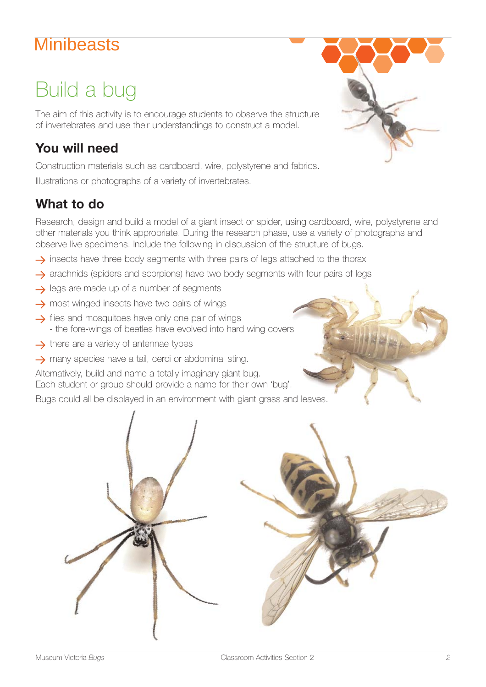# Build a bug

The aim of this activity is to encourage students to observe the structure of invertebrates and use their understandings to construct a model.

#### **You will need**

Construction materials such as cardboard, wire, polystyrene and fabrics. Illustrations or photographs of a variety of invertebrates.

#### **What to do**

Research, design and build a model of a giant insect or spider, using cardboard, wire, polystyrene and other materials you think appropriate. During the research phase, use a variety of photographs and observe live specimens. Include the following in discussion of the structure of bugs.

- $\rightarrow$  insects have three body segments with three pairs of legs attached to the thorax
- $\rightarrow$  arachnids (spiders and scorpions) have two body segments with four pairs of legs
- $\rightarrow$  legs are made up of a number of segments
- $\rightarrow$  most winged insects have two pairs of wings
- $\rightarrow$  flies and mosquitoes have only one pair of wings - the fore-wings of beetles have evolved into hard wing covers
- $\rightarrow$  there are a variety of antennae types
- $\rightarrow$  many species have a tail, cerci or abdominal sting.

Alternatively, build and name a totally imaginary giant bug. Each student or group should provide a name for their own 'bug'.

Bugs could all be displayed in an environment with giant grass and leaves.



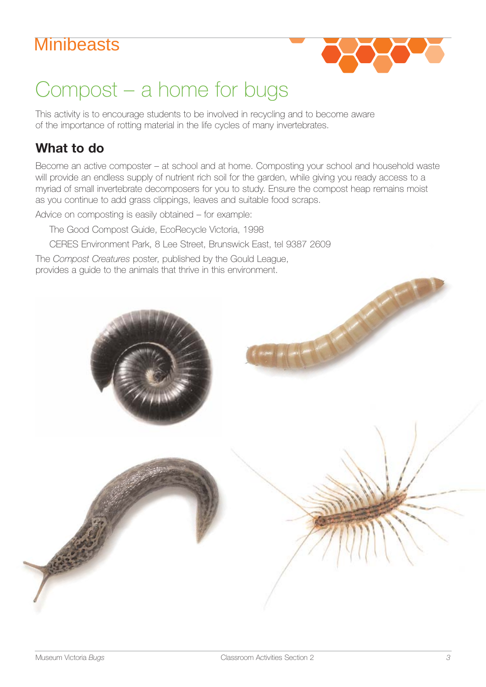

# Compost – a home for bugs

This activity is to encourage students to be involved in recycling and to become aware of the importance of rotting material in the life cycles of many invertebrates.

#### **What to do**

Become an active composter – at school and at home. Composting your school and household waste will provide an endless supply of nutrient rich soil for the garden, while giving you ready access to a myriad of small invertebrate decomposers for you to study. Ensure the compost heap remains moist as you continue to add grass clippings, leaves and suitable food scraps.

Advice on composting is easily obtained – for example:

The Good Compost Guide, EcoRecycle Victoria, 1998

CERES Environment Park, 8 Lee Street, Brunswick East, tel 9387 2609

The *Compost Creatures* poster, published by the Gould League, provides a guide to the animals that thrive in this environment.

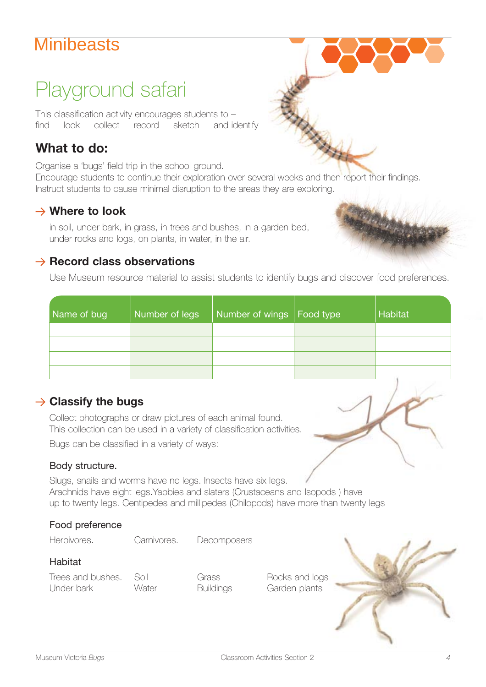# Playground safari

This classification activity encourages students to – find look collect record sketch and identify

#### **What to do:**

Organise a 'bugs' field trip in the school ground.

Encourage students to continue their exploration over several weeks and then report their findings. Instruct students to cause minimal disruption to the areas they are exploring.

#### **Where to look**

in soil, under bark, in grass, in trees and bushes, in a garden bed, under rocks and logs, on plants, in water, in the air.

#### $→$  **Record class observations**

Use Museum resource material to assist students to identify bugs and discover food preferences.

| Name of bug | Number of legs | Number of wings   Food type | Habitat |
|-------------|----------------|-----------------------------|---------|
|             |                |                             |         |
|             |                |                             |         |
|             |                |                             |         |
|             |                |                             |         |

#### **→ Classify the bugs**

Collect photographs or draw pictures of each animal found. This collection can be used in a variety of classification activities.

Bugs can be classified in a variety of ways:

Carnivores.

#### Body structure.

Slugs, snails and worms have no legs. Insects have six legs. Arachnids have eight legs.Yabbies and slaters (Crustaceans and Isopods ) have up to twenty legs. Centipedes and millipedes (Chilopods) have more than twenty legs

#### Food preference

Herbivores. Carnivores. Decomposers

#### Habitat

Trees and bushes. Soil Grass Bocks and logs Under bark Water Buildings Garden plants



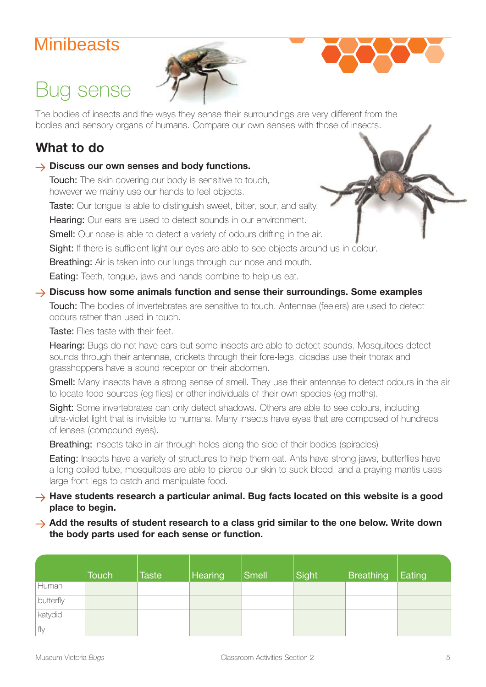Bug sense



The bodies of insects and the ways they sense their surroundings are very different from the bodies and sensory organs of humans. Compare our own senses with those of insects.

#### **What to do**

#### **→ Discuss our own senses and body functions.**

**Touch:** The skin covering our body is sensitive to touch, however we mainly use our hands to feel objects.

Taste: Our tongue is able to distinguish sweet, bitter, sour, and salty.

Hearing: Our ears are used to detect sounds in our environment.

Smell: Our nose is able to detect a variety of odours drifting in the air.

Sight: If there is sufficient light our eyes are able to see objects around us in colour.

Breathing: Air is taken into our lungs through our nose and mouth.

**Eating:** Teeth, tongue, jaws and hands combine to help us eat.

#### **Discuss how some animals function and sense their surroundings. Some examples**

Touch: The bodies of invertebrates are sensitive to touch. Antennae (feelers) are used to detect odours rather than used in touch.

Taste: Flies taste with their feet.

Hearing: Bugs do not have ears but some insects are able to detect sounds. Mosquitoes detect sounds through their antennae, crickets through their fore-legs, cicadas use their thorax and grasshoppers have a sound receptor on their abdomen.

**Smell:** Many insects have a strong sense of smell. They use their antennae to detect odours in the air to locate food sources (eg flies) or other individuals of their own species (eg moths).

Sight: Some invertebrates can only detect shadows. Others are able to see colours, including ultra-violet light that is invisible to humans. Many insects have eyes that are composed of hundreds of lenses (compound eyes).

**Breathing:** Insects take in air through holes along the side of their bodies (spiracles)

**Eating:** Insects have a variety of structures to help them eat. Ants have strong jaws, butterflies have a long coiled tube, mosquitoes are able to pierce our skin to suck blood, and a praying mantis uses large front legs to catch and manipulate food.

#### → Have students research a particular animal. Bug facts located on this website is a good **place to begin.**

#### → Add the results of student research to a class grid similar to the one below. Write down **the body parts used for each sense or function.**

|           | <b>Touch</b> | <b>Taste</b> | Hearing | $ Sm$ ell | Sight | <b>Breathing</b> | Eating |
|-----------|--------------|--------------|---------|-----------|-------|------------------|--------|
| Human     |              |              |         |           |       |                  |        |
| butterfly |              |              |         |           |       |                  |        |
| katydid   |              |              |         |           |       |                  |        |
| fly       |              |              |         |           |       |                  |        |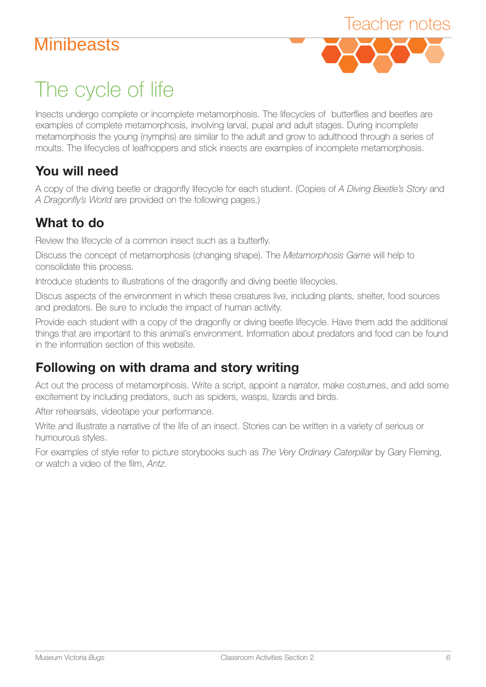

# The cycle of life

Insects undergo complete or incomplete metamorphosis. The lifecycles of butterflies and beetles are examples of complete metamorphosis, involving larval, pupal and adult stages. During incomplete metamorphosis the young (nymphs) are similar to the adult and grow to adulthood through a series of moults. The lifecycles of leafhoppers and stick insects are examples of incomplete metamorphosis.

### **You will need**

A copy of the diving beetle or dragonfly lifecycle for each student. (Copies of *A Diving Beetle's Story* and *A Dragonfly's World* are provided on the following pages.)

### **What to do**

Review the lifecycle of a common insect such as a butterfly.

Discuss the concept of metamorphosis (changing shape). The *Metamorphosis Game* will help to consolidate this process.

Introduce students to illustrations of the dragonfly and diving beetle lifecycles.

Discus aspects of the environment in which these creatures live, including plants, shelter, food sources and predators. Be sure to include the impact of human activity.

Provide each student with a copy of the dragonfly or diving beetle lifecycle. Have them add the additional things that are important to this animal's environment. Information about predators and food can be found in the information section of this website.

### **Following on with drama and story writing**

Act out the process of metamorphosis. Write a script, appoint a narrator, make costumes, and add some excitement by including predators, such as spiders, wasps, lizards and birds.

After rehearsals, videotape your performance.

Write and illustrate a narrative of the life of an insect. Stories can be written in a variety of serious or humourous styles.

For examples of style refer to picture storybooks such as *The Very Ordinary Caterpillar* by Gary Fleming, or watch a video of the film, *Antz*.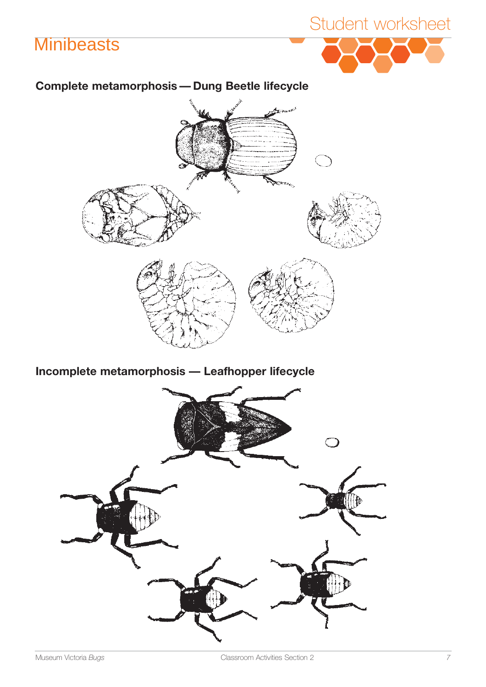# Student worksheet

#### **Complete metamorphosis — Dung Beetle lifecycle**



**Incomplete metamorphosis — Leafhopper lifecycle** 

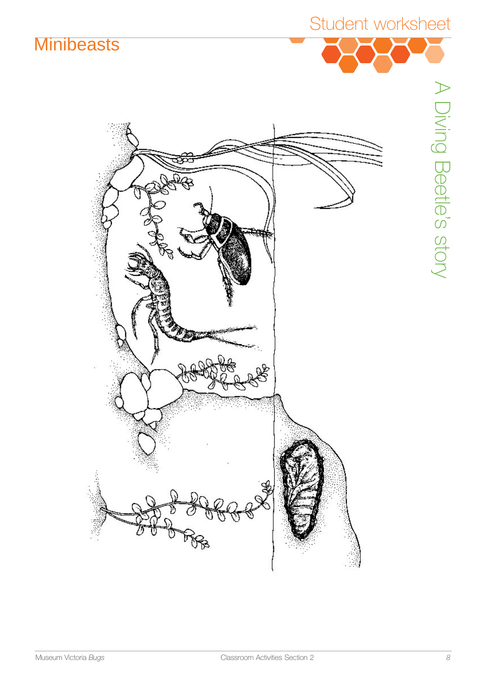Student worksheet



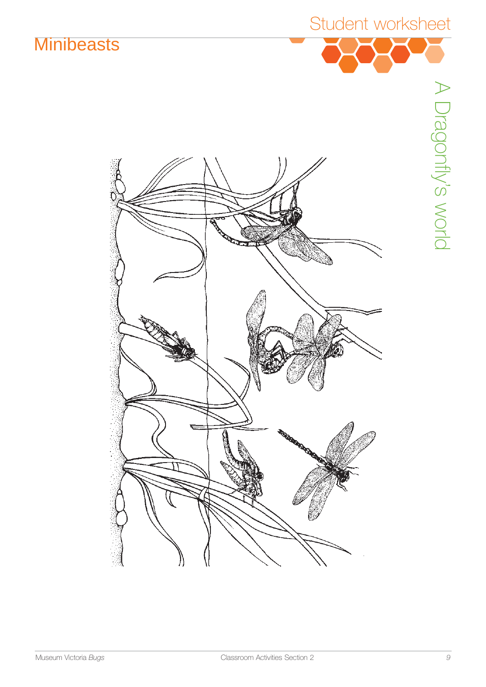



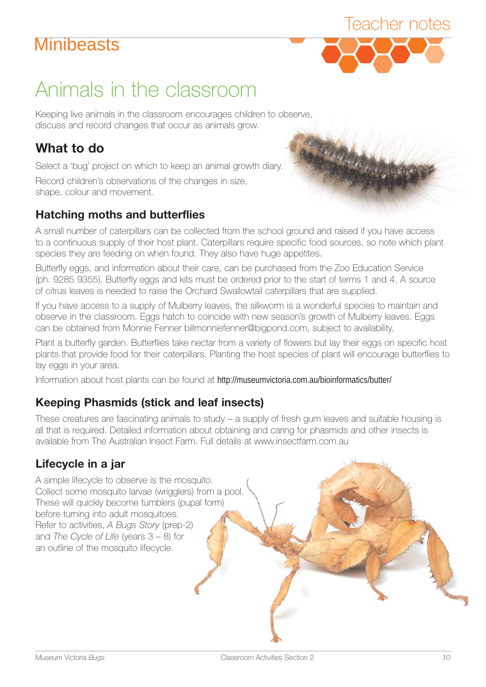

# Animals in the classroom

Keeping live animals in the classroom encourages children to observe, discuss and record changes that occur as animals grow.

#### **What to do**

Select a 'bug' project on which to keep an animal growth diary.

shape, colour and movement. Record children' s observations of the changes in size,

#### **Hatching moths and butterflies**

to a continuous supply of their host plant. Caterpillars require specific food sources, so note which plant A small number of caterpillars can be collected from the school ground and raised if you have access species they are feeding on when found. They also have huge appetites.

Butterfly eggs, and information about their care, can be purchased from the Zoo Education Service (ph. 9285 9355). Butterfly eggs and kits must be ordered prior to the start of terms 1 and 4. A source of citrus leaves is needed to raise the Orchard Swallowtail caterpillars that are supplied.

If you have access to a supply of Mulberry leaves, the silkworm is a wonderful species to maintain and observe in the classroom. Eggs hatch to coincide with new season's growth of Mulberry leaves. Eggs can be obtained from Monnie Fenner billmonniefenner@bigpond.com, subject to availability.

Plant a butterfly garden. Butterflies take nectar from a variety of flowers but lay their eggs on specific host plants that provide food for their caterpillars. Planting the host species of plant will encourage butterflies to lay eggs in your area.

Information about host plants can be found at http://museumvictoria.com.au/bioinformatics/butter/

#### **Keeping Phasmids (stick and leaf insects)**

These creatures are fascinating animals to study – a supply of fresh gum leaves and suitable housing is all that is required. Detailed information about obtaining and caring for phasmids and other insects is available from The Australian Insect Farm. Full details at www.insectfarm.com.au

#### **Lifecycle in a jar**

A simple lifecycle to observe is the mosquito. Collect some mosquito larvae (wrigglers) from a pool. These will quickly become tumblers (pupal form) before turning into adult mosquitoes. Refer to activities, *A Bugs Story* (prep-2) and *The Cycle of Life* (years 3 – 8) for an outline of the mosquito lifecycle.

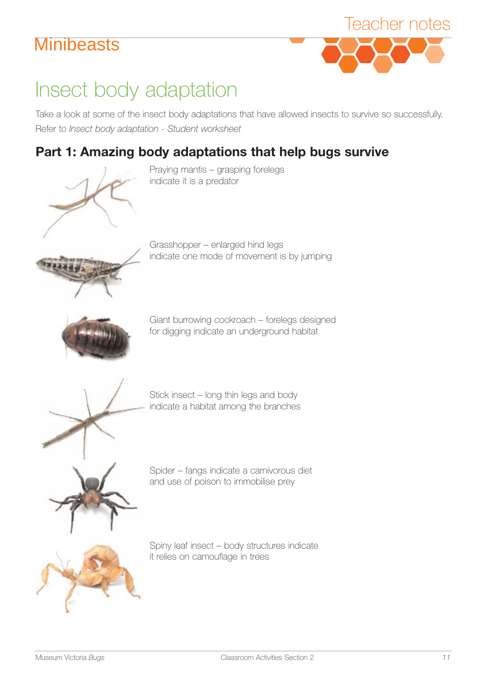

# Insect body adaptation

Take a look at some of the insect body adaptations that have allowed insects to survive so successfully. Refer to *Insect body adaptation - Student worksheet* 

### **Part 1: Amazing body adaptations that help bugs survive**



Praying mantis – grasping forelegs indicate it is a predator



Grasshopper – enlarged hind legs indicate one mode of movement is by jumping



Giant burrowing cockroach – forelegs designed for digging indicate an underground habitat



Stick insect – long thin legs and body indicate a habitat among the branches



Spider – fangs indicate a carnivorous diet and use of poison to immobilise prey



Spiny leaf insect – body structures indicate it relies on camouflage in trees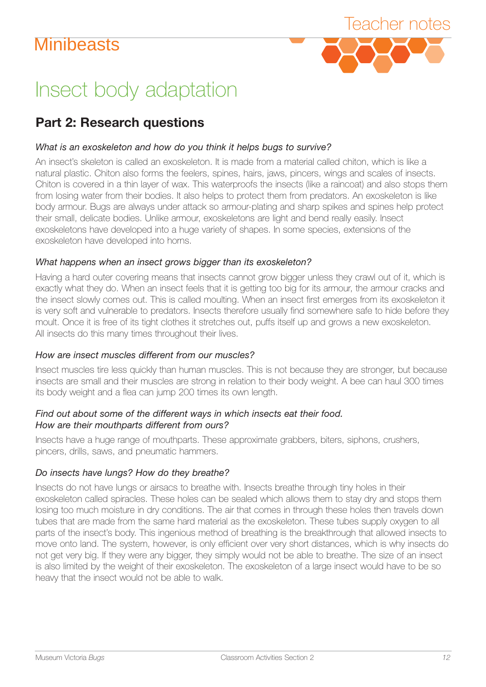

# Insect body adaptation

#### **Part 2: Research questions**

#### *What is an exoskeleton and how do you think it helps bugs to survive?*

An insect's skeleton is called an exoskeleton. It is made from a material called chiton, which is like a natural plastic. Chiton also forms the feelers, spines, hairs, jaws, pincers, wings and scales of insects. Chiton is covered in a thin layer of wax. This waterproofs the insects (like a raincoat) and also stops them from losing water from their bodies. It also helps to protect them from predators. An exoskeleton is like body armour. Bugs are always under attack so armour-plating and sharp spikes and spines help protect their small, delicate bodies. Unlike armour, exoskeletons are light and bend really easily. Insect exoskeletons have developed into a huge variety of shapes. In some species, extensions of the exoskeleton have developed into horns.

#### *What happens when an insect grows bigger than its exoskeleton?*

Having a hard outer covering means that insects cannot grow bigger unless they crawl out of it, which is exactly what they do. When an insect feels that it is getting too big for its armour, the armour cracks and the insect slowly comes out. This is called moulting. When an insect first emerges from its exoskeleton it is very soft and vulnerable to predators. Insects therefore usually find somewhere safe to hide before they moult. Once it is free of its tight clothes it stretches out, puffs itself up and grows a new exoskeleton. All insects do this many times throughout their lives.

#### *How are insect muscles different from our muscles?*

Insect muscles tire less quickly than human muscles. This is not because they are stronger, but because insects are small and their muscles are strong in relation to their body weight. A bee can haul 300 times its body weight and a flea can jump 200 times its own length.

#### *Find out about some of the different ways in which insects eat their food. How are their mouthparts different from ours?*

Insects have a huge range of mouthparts. These approximate grabbers, biters, siphons, crushers, pincers, drills, saws, and pneumatic hammers.

#### *Do insects have lungs? How do they breathe?*

Insects do not have lungs or airsacs to breathe with. Insects breathe through tiny holes in their exoskeleton called spiracles. These holes can be sealed which allows them to stay dry and stops them losing too much moisture in dry conditions. The air that comes in through these holes then travels down tubes that are made from the same hard material as the exoskeleton. These tubes supply oxygen to all parts of the insect's body. This ingenious method of breathing is the breakthrough that allowed insects to move onto land. The system, however, is only efficient over very short distances, which is why insects do not get very big. If they were any bigger, they simply would not be able to breathe. The size of an insect is also limited by the weight of their exoskeleton. The exoskeleton of a large insect would have to be so heavy that the insect would not be able to walk.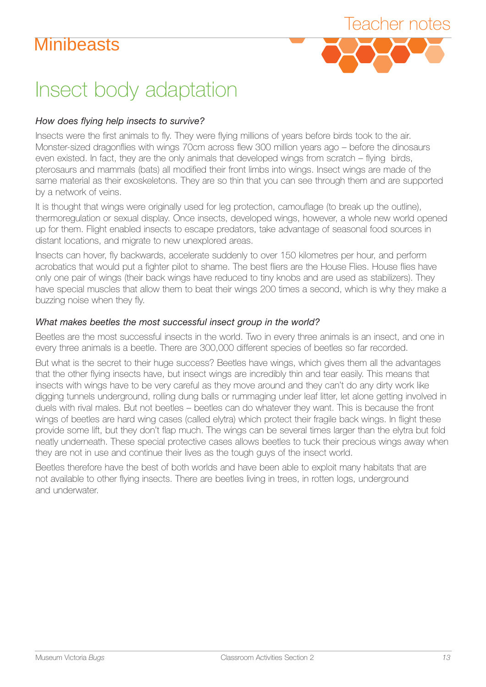

## Insect body adaptation

#### *How does flying help insects to survive?*

Insects were the first animals to fly. They were flying millions of years before birds took to the air. Monster-sized dragonflies with wings 70cm across flew 300 million years ago – before the dinosaurs even existed. In fact, they are the only animals that developed wings from scratch – flying birds, pterosaurs and mammals (bats) all modified their front limbs into wings. Insect wings are made of the same material as their exoskeletons. They are so thin that you can see through them and are supported by a network of veins.

It is thought that wings were originally used for leg protection, camouflage (to break up the outline), thermoregulation or sexual display. Once insects, developed wings, however, a whole new world opened up for them. Flight enabled insects to escape predators, take advantage of seasonal food sources in distant locations, and migrate to new unexplored areas.

Insects can hover, fly backwards, accelerate suddenly to over 150 kilometres per hour, and perform acrobatics that would put a fighter pilot to shame. The best fliers are the House Flies. House flies have only one pair of wings (their back wings have reduced to tiny knobs and are used as stabilizers). They have special muscles that allow them to beat their wings 200 times a second, which is why they make a buzzing noise when they fly.

#### *What makes beetles the most successful insect group in the world?*

Beetles are the most successful insects in the world. Two in every three animals is an insect, and one in every three animals is a beetle. There are 300,000 different species of beetles so far recorded.

But what is the secret to their huge success? Beetles have wings, which gives them all the advantages that the other flying insects have, but insect wings are incredibly thin and tear easily. This means that insects with wings have to be very careful as they move around and they can't do any dirty work like digging tunnels underground, rolling dung balls or rummaging under leaf litter, let alone getting involved in duels with rival males. But not beetles – beetles can do whatever they want. This is because the front wings of beetles are hard wing cases (called elytra) which protect their fragile back wings. In flight these provide some lift, but they don't flap much. The wings can be several times larger than the elytra but fold neatly underneath. These special protective cases allows beetles to tuck their precious wings away when they are not in use and continue their lives as the tough guys of the insect world.

Beetles therefore have the best of both worlds and have been able to exploit many habitats that are not available to other flying insects. There are beetles living in trees, in rotten logs, underground and underwater.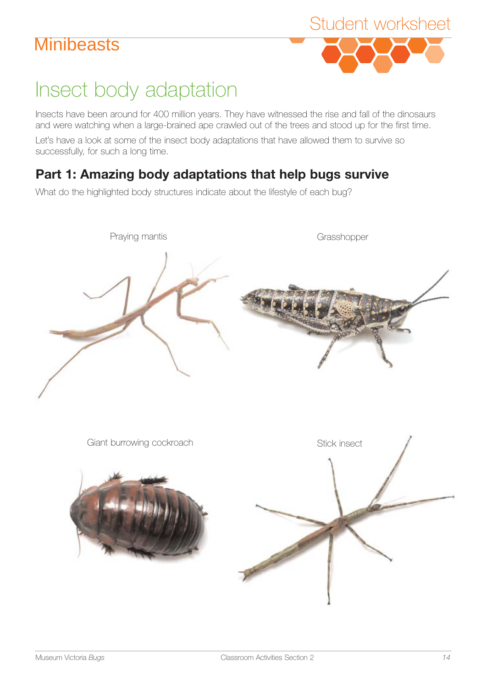

# Insect body adaptation

Insects have been around for 400 million years. They have witnessed the rise and fall of the dinosaurs and were watching when a large-brained ape crawled out of the trees and stood up for the first time.

Let's have a look at some of the insect body adaptations that have allowed them to survive so successfully, for such a long time.

### **Part 1: Amazing body adaptations that help bugs survive**

What do the highlighted body structures indicate about the lifestyle of each bug?

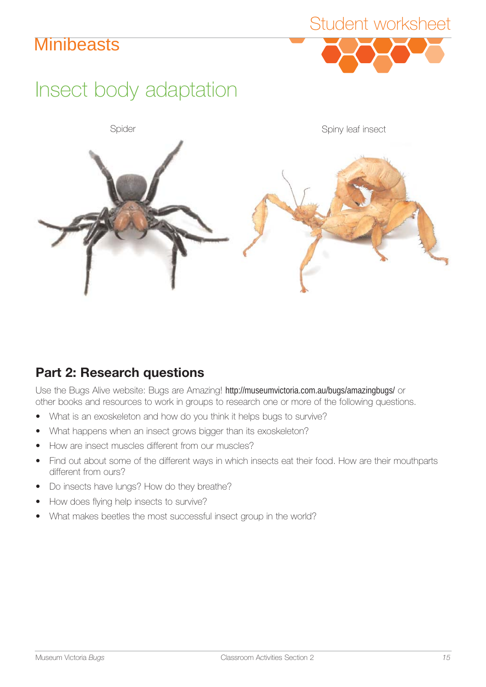

# Insect body adaptation



### **Part 2: Research questions**

Use the Bugs Alive website: Bugs are Amazing! http://museumvictoria.com.au/bugs/amazingbugs/ or other books and resources to work in groups to research one or more of the following questions.

- What is an exoskeleton and how do you think it helps bugs to survive?
- What happens when an insect grows bigger than its exoskeleton?
- How are insect muscles different from our muscles?
- Find out about some of the different ways in which insects eat their food. How are their mouthparts different from ours?
- Do insects have lungs? How do they breathe?
- How does flying help insects to survive?
- What makes beetles the most successful insect group in the world?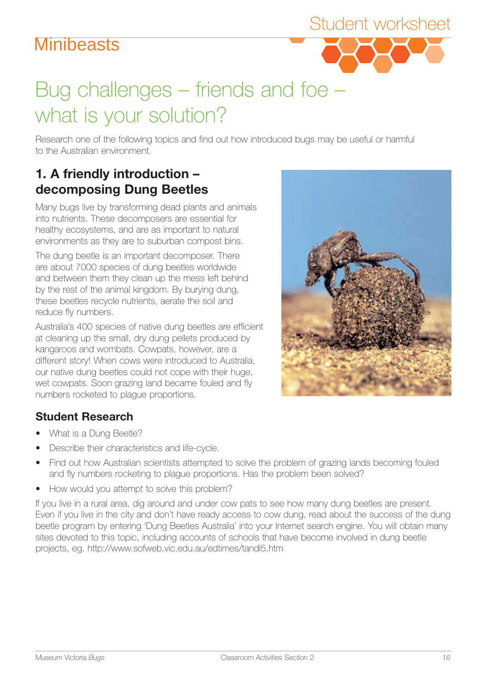# Bug challenges – friends and foe – what is your solution?

Research one of the following topics and find out how introduced bugs may be useful or harmful to the Australian environment.

#### **1. A friendly introduction – decomposing Dung Beetles**

Many bugs live by transforming dead plants and animals into nutrients. These decomposers are essential for healthy ecosystems, and are as important to natural environments as they are to suburban compost bins.

The dung beetle is an important decomposer. There are about 7000 species of dung beetles worldwide and between them they clean up the mess left behind by the rest of the animal kingdom. By burying dung, these beetles recycle nutrients, aerate the soil and reduce fly numbers.

Australia's 400 species of native dung beetles are efficient at cleaning up the small, dry dung pellets produced by kangaroos and wombats. Cowpats, however, are a different story! When cows were introduced to Australia, our native dung beetles could not cope with their huge, wet cowpats. Soon grazing land became fouled and fly numbers rocketed to plague proportions.

### **Student Research**

- What is a Dung Beetle?
- Describe their characteristics and life-cycle.
- Find out how Australian scientists attempted to solve the problem of grazing lands becoming fouled and fly numbers rocketing to plague proportions. Has the problem been solved?
- How would you attempt to solve this problem?

If you live in a rural area, dig around and under cow pats to see how many dung beetles are present. Even if you live in the city and don't have ready access to cow dung, read about the success of the dung beetle program by entering 'Dung Beetles Australia' into your Internet search engine. You will obtain many sites devoted to this topic, including accounts of schools that have become involved in dung beetle projects, eg. http://www.sofweb.vic.edu.au/edtimes/tandl5.htm



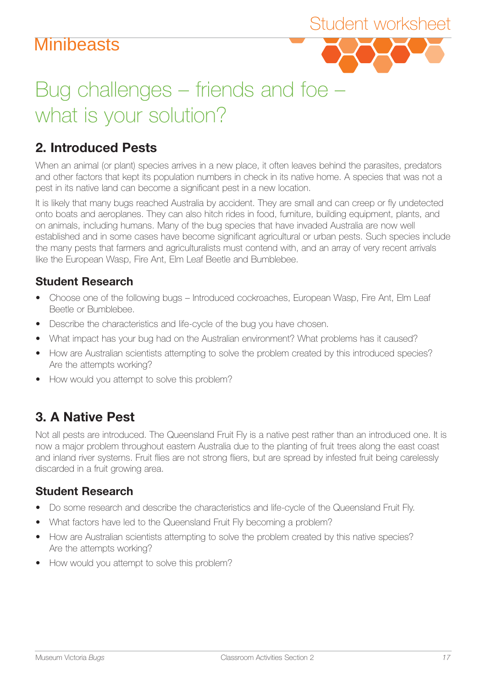

# Bug challenges – friends and foe – what is your solution?

#### **2. Introduced Pests**

When an animal (or plant) species arrives in a new place, it often leaves behind the parasites, predators and other factors that kept its population numbers in check in its native home. A species that was not a pest in its native land can become a significant pest in a new location.

It is likely that many bugs reached Australia by accident. They are small and can creep or fly undetected onto boats and aeroplanes. They can also hitch rides in food, furniture, building equipment, plants, and on animals, including humans. Many of the bug species that have invaded Australia are now well established and in some cases have become significant agricultural or urban pests. Such species include the many pests that farmers and agriculturalists must contend with, and an array of very recent arrivals like the European Wasp, Fire Ant, Elm Leaf Beetle and Bumblebee.

#### **Student Research**

- Choose one of the following bugs Introduced cockroaches, European Wasp, Fire Ant, Elm Leaf Beetle or Bumblebee.
- Describe the characteristics and life-cycle of the bug you have chosen.
- What impact has your bug had on the Australian environment? What problems has it caused?
- How are Australian scientists attempting to solve the problem created by this introduced species? Are the attempts working?
- How would you attempt to solve this problem?

#### **3. A Native Pest**

Not all pests are introduced. The Queensland Fruit Fly is a native pest rather than an introduced one. It is now a major problem throughout eastern Australia due to the planting of fruit trees along the east coast and inland river systems. Fruit flies are not strong fliers, but are spread by infested fruit being carelessly discarded in a fruit growing area.

#### **Student Research**

- Do some research and describe the characteristics and life-cycle of the Queensland Fruit Fly.
- What factors have led to the Queensland Fruit Fly becoming a problem?
- How are Australian scientists attempting to solve the problem created by this native species? Are the attempts working?
- How would you attempt to solve this problem?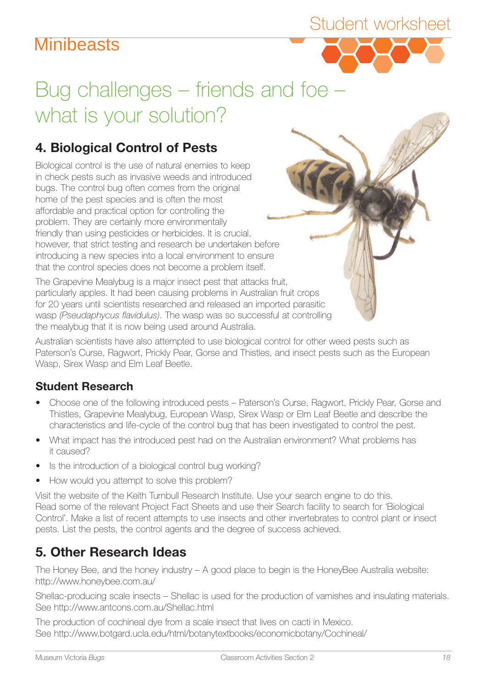### Student worksheet



# Bug challenges – friends and foe – what is your solution?

### **4. Biological Control of Pests**

however, that strict testing and research be undertaken before introducing a new species into a local environment to ensure that the control species does not become a problem itself. Biological control is the use of natural enemies to keep in check pests such as invasive weeds and introduced bugs. The control bug often comes from the original home of the pest species and is often the most affordable and practical option for controlling the problem. They are certainly more environmentally friendly than using pesticides or herbicides. It is crucial,

The Grapevine Mealybug is a major insect pest that attacks fruit, particularly apples. It had been causing problems in Australian fruit crops for 20 years until scientists researched and released an imported parasitic wasp *(Pseudaphycus flavidulus)*. The wasp was so successful at controlling the mealybug that it is now being used around Australia.

Australian scientists have also attempted to use biological control for other weed pests such as Paterson's Curse, Ragwort, Prickly Pear, Gorse and Thistles, and insect pests such as the European Wasp, Sirex Wasp and Elm Leaf Beetle.

#### **Student Research**

- Choose one of the following introduced pests Paterson's Curse, Ragwort, Prickly Pear, Gorse and Thistles, Grapevine Mealybug, European Wasp, Sirex Wasp or Elm Leaf Beetle and describe the characteristics and life-cycle of the control bug that has been investigated to control the pest.
- What impact has the introduced pest had on the Australian environment? What problems has it caused?
- Is the introduction of a biological control bug working?
- How would you attempt to solve this problem?

Visit the website of the Keith Turnbull Research Institute. Use your search engine to do this. Read some of the relevant Project Fact Sheets and use their Search facility to search for 'Biological Control'. Make a list of recent attempts to use insects and other invertebrates to control plant or insect pests. List the pests, the control agents and the degree of success achieved.

### **5. Other Research Ideas**

The Honey Bee, and the honey industry  $-$  A good place to begin is the HoneyBee Australia website: http://www.honeybee.com.au/

Shellac-producing scale insects – Shellac is used for the production of varnishes and insulating materials. See http://www.antcons.com.au/Shellac.html

The production of cochineal dye from a scale insect that lives on cacti in Mexico. See http://www.botgard.ucla.edu/html/botanytextbooks/economicbotany/Cochineal/